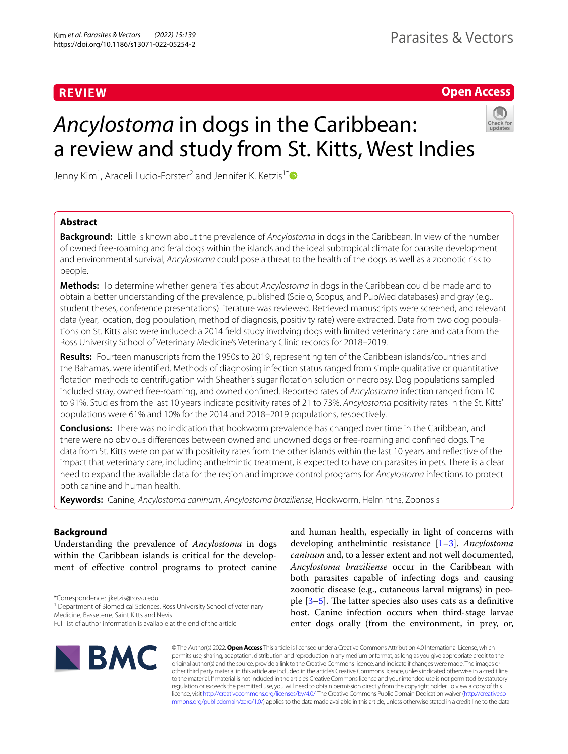## **REVIEW**

**Open Access**

# *Ancylostoma* in dogs in the Caribbean: a review and study from St. Kitts, West Indies



Jenny Kim<sup>1</sup>, Araceli Lucio-Forster<sup>2</sup> and Jennifer K. Ketzis<sup>1[\\*](http://orcid.org/0000-0002-6351-3140)</sup>

## **Abstract**

**Background:** Little is known about the prevalence of *Ancylostoma* in dogs in the Caribbean. In view of the number of owned free-roaming and feral dogs within the islands and the ideal subtropical climate for parasite development and environmental survival, *Ancylostoma* could pose a threat to the health of the dogs as well as a zoonotic risk to people.

**Methods:** To determine whether generalities about *Ancylostoma* in dogs in the Caribbean could be made and to obtain a better understanding of the prevalence, published (Scielo, Scopus, and PubMed databases) and gray (e.g., student theses, conference presentations) literature was reviewed. Retrieved manuscripts were screened, and relevant data (year, location, dog population, method of diagnosis, positivity rate) were extracted. Data from two dog populations on St. Kitts also were included: a 2014 feld study involving dogs with limited veterinary care and data from the Ross University School of Veterinary Medicine's Veterinary Clinic records for 2018–2019.

**Results:** Fourteen manuscripts from the 1950s to 2019, representing ten of the Caribbean islands/countries and the Bahamas, were identifed. Methods of diagnosing infection status ranged from simple qualitative or quantitative fotation methods to centrifugation with Sheather's sugar fotation solution or necropsy. Dog populations sampled included stray, owned free-roaming, and owned confned. Reported rates of *Ancylostoma* infection ranged from 10 to 91%. Studies from the last 10 years indicate positivity rates of 21 to 73%. *Ancylostoma* positivity rates in the St. Kitts' populations were 61% and 10% for the 2014 and 2018–2019 populations, respectively.

**Conclusions:** There was no indication that hookworm prevalence has changed over time in the Caribbean, and there were no obvious diferences between owned and unowned dogs or free-roaming and confned dogs. The data from St. Kitts were on par with positivity rates from the other islands within the last 10 years and refective of the impact that veterinary care, including anthelmintic treatment, is expected to have on parasites in pets. There is a clear need to expand the available data for the region and improve control programs for *Ancylostoma* infections to protect both canine and human health.

**Keywords:** Canine, *Ancylostoma caninum*, *Ancylostoma braziliense*, Hookworm, Helminths, Zoonosis

## **Background**

Understanding the prevalence of *Ancylostoma* in dogs within the Caribbean islands is critical for the development of efective control programs to protect canine

\*Correspondence: jketzis@rossu.edu

<sup>1</sup> Department of Biomedical Sciences, Ross University School of Veterinary Medicine, Basseterre, Saint Kitts and Nevis

and human health, especially in light of concerns with developing anthelmintic resistance [\[1–](#page-6-0)[3\]](#page-6-1). *Ancylostoma caninum* and, to a lesser extent and not well documented, *Ancylostoma braziliense* occur in the Caribbean with both parasites capable of infecting dogs and causing zoonotic disease (e.g., cutaneous larval migrans) in people  $[3-5]$  $[3-5]$ . The latter species also uses cats as a definitive host. Canine infection occurs when third-stage larvae enter dogs orally (from the environment, in prey, or,



© The Author(s) 2022. **Open Access** This article is licensed under a Creative Commons Attribution 4.0 International License, which permits use, sharing, adaptation, distribution and reproduction in any medium or format, as long as you give appropriate credit to the original author(s) and the source, provide a link to the Creative Commons licence, and indicate if changes were made. The images or other third party material in this article are included in the article's Creative Commons licence, unless indicated otherwise in a credit line to the material. If material is not included in the article's Creative Commons licence and your intended use is not permitted by statutory regulation or exceeds the permitted use, you will need to obtain permission directly from the copyright holder. To view a copy of this licence, visit [http://creativecommons.org/licenses/by/4.0/.](http://creativecommons.org/licenses/by/4.0/) The Creative Commons Public Domain Dedication waiver ([http://creativeco](http://creativecommons.org/publicdomain/zero/1.0/) [mmons.org/publicdomain/zero/1.0/](http://creativecommons.org/publicdomain/zero/1.0/)) applies to the data made available in this article, unless otherwise stated in a credit line to the data.

Full list of author information is available at the end of the article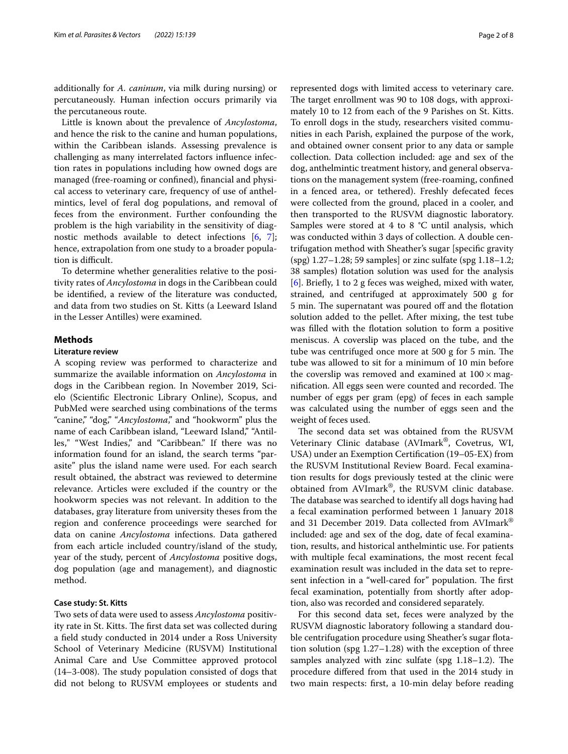additionally for *A. caninum*, via milk during nursing) or percutaneously. Human infection occurs primarily via the percutaneous route.

Little is known about the prevalence of *Ancylostoma*, and hence the risk to the canine and human populations, within the Caribbean islands. Assessing prevalence is challenging as many interrelated factors infuence infection rates in populations including how owned dogs are managed (free-roaming or confned), fnancial and physical access to veterinary care, frequency of use of anthelmintics, level of feral dog populations, and removal of feces from the environment. Further confounding the problem is the high variability in the sensitivity of diagnostic methods available to detect infections [[6,](#page-6-3) [7](#page-6-4)]; hence, extrapolation from one study to a broader population is difficult.

To determine whether generalities relative to the positivity rates of *Ancylostoma* in dogs in the Caribbean could be identifed, a review of the literature was conducted, and data from two studies on St. Kitts (a Leeward Island in the Lesser Antilles) were examined.

## **Methods**

#### **Literature review**

A scoping review was performed to characterize and summarize the available information on *Ancylostoma* in dogs in the Caribbean region. In November 2019, Scielo (Scientifc Electronic Library Online), Scopus, and PubMed were searched using combinations of the terms "canine," "dog," "*Ancylostoma*," and "hookworm" plus the name of each Caribbean island, "Leeward Island," "Antilles," "West Indies," and "Caribbean." If there was no information found for an island, the search terms "parasite" plus the island name were used. For each search result obtained, the abstract was reviewed to determine relevance. Articles were excluded if the country or the hookworm species was not relevant. In addition to the databases, gray literature from university theses from the region and conference proceedings were searched for data on canine *Ancylostoma* infections. Data gathered from each article included country/island of the study, year of the study, percent of *Ancylostoma* positive dogs, dog population (age and management), and diagnostic method.

## **Case study: St. Kitts**

Two sets of data were used to assess *Ancylostoma* positivity rate in St. Kitts. The first data set was collected during a feld study conducted in 2014 under a Ross University School of Veterinary Medicine (RUSVM) Institutional Animal Care and Use Committee approved protocol  $(14–3-008)$ . The study population consisted of dogs that did not belong to RUSVM employees or students and represented dogs with limited access to veterinary care. The target enrollment was 90 to 108 dogs, with approximately 10 to 12 from each of the 9 Parishes on St. Kitts. To enroll dogs in the study, researchers visited communities in each Parish, explained the purpose of the work, and obtained owner consent prior to any data or sample collection. Data collection included: age and sex of the dog, anthelmintic treatment history, and general observations on the management system (free-roaming, confned in a fenced area, or tethered). Freshly defecated feces were collected from the ground, placed in a cooler, and then transported to the RUSVM diagnostic laboratory. Samples were stored at 4 to 8 °C until analysis, which was conducted within 3 days of collection. A double centrifugation method with Sheather's sugar [specifc gravity (spg) 1.27–1.28; 59 samples] or zinc sulfate (spg 1.18–1.2; 38 samples) fotation solution was used for the analysis [[6\]](#page-6-3). Briefy, 1 to 2 g feces was weighed, mixed with water, strained, and centrifuged at approximately 500 g for 5 min. The supernatant was poured off and the flotation solution added to the pellet. After mixing, the test tube was filled with the flotation solution to form a positive meniscus. A coverslip was placed on the tube, and the tube was centrifuged once more at 500 g for 5 min. The tube was allowed to sit for a minimum of 10 min before the coverslip was removed and examined at  $100 \times$  magnification. All eggs seen were counted and recorded. The number of eggs per gram (epg) of feces in each sample was calculated using the number of eggs seen and the weight of feces used.

The second data set was obtained from the RUSVM Veterinary Clinic database (AVImark®, Covetrus, WI, USA) under an Exemption Certifcation (19–05-EX) from the RUSVM Institutional Review Board. Fecal examination results for dogs previously tested at the clinic were obtained from AVImark®, the RUSVM clinic database. The database was searched to identify all dogs having had a fecal examination performed between 1 January 2018 and 31 December 2019. Data collected from AVImark® included: age and sex of the dog, date of fecal examination, results, and historical anthelmintic use. For patients with multiple fecal examinations, the most recent fecal examination result was included in the data set to represent infection in a "well-cared for" population. The first fecal examination, potentially from shortly after adoption, also was recorded and considered separately.

For this second data set, feces were analyzed by the RUSVM diagnostic laboratory following a standard double centrifugation procedure using Sheather's sugar flotation solution (spg 1.27–1.28) with the exception of three samples analyzed with zinc sulfate (spg  $1.18-1.2$ ). The procedure difered from that used in the 2014 study in two main respects: frst, a 10-min delay before reading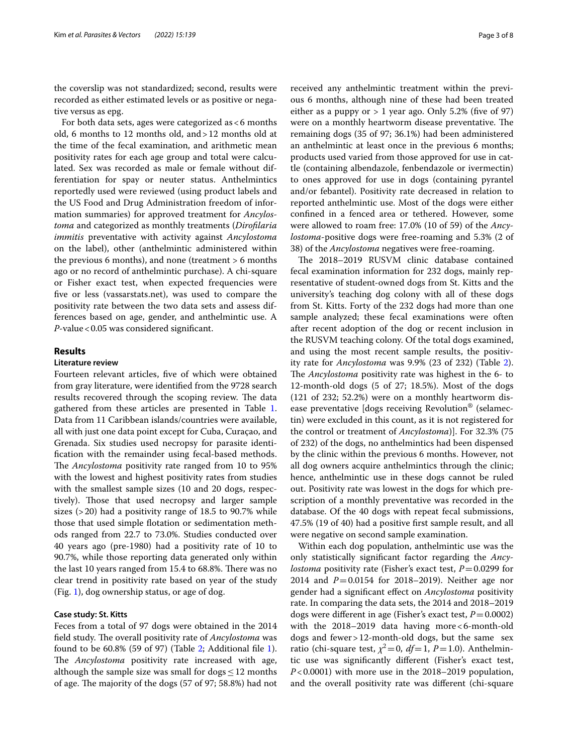the coverslip was not standardized; second, results were recorded as either estimated levels or as positive or negative versus as epg.

For both data sets, ages were categorized as  $<$  6 months old, 6 months to 12 months old, and>12 months old at the time of the fecal examination, and arithmetic mean positivity rates for each age group and total were calculated. Sex was recorded as male or female without differentiation for spay or neuter status. Anthelmintics reportedly used were reviewed (using product labels and the US Food and Drug Administration freedom of information summaries) for approved treatment for *Ancylostoma* and categorized as monthly treatments (*Diroflaria immitis* preventative with activity against *Ancylostoma* on the label), other (anthelmintic administered within the previous 6 months), and none (treatment > 6 months ago or no record of anthelmintic purchase). A chi-square or Fisher exact test, when expected frequencies were fve or less (vassarstats.net), was used to compare the positivity rate between the two data sets and assess differences based on age, gender, and anthelmintic use. A *P*-value < 0.05 was considered significant.

#### **Results**

## **Literature review**

Fourteen relevant articles, fve of which were obtained from gray literature, were identifed from the 9728 search results recovered through the scoping review. The data gathered from these articles are presented in Table [1](#page-3-0). Data from 11 Caribbean islands/countries were available, all with just one data point except for Cuba, Curaçao, and Grenada. Six studies used necropsy for parasite identifcation with the remainder using fecal-based methods. The *Ancylostoma* positivity rate ranged from 10 to 95% with the lowest and highest positivity rates from studies with the smallest sample sizes (10 and 20 dogs, respectively). Those that used necropsy and larger sample sizes (>20) had a positivity range of 18.5 to 90.7% while those that used simple fotation or sedimentation methods ranged from 22.7 to 73.0%. Studies conducted over 40 years ago (pre-1980) had a positivity rate of 10 to 90.7%, while those reporting data generated only within the last 10 years ranged from 15.4 to 68.8%. There was no clear trend in positivity rate based on year of the study (Fig. [1\)](#page-4-0), dog ownership status, or age of dog.

## **Case study: St. Kitts**

Feces from a total of 97 dogs were obtained in the 2014 field study. The overall positivity rate of *Ancylostoma* was found to be 60.8% (59 of 97) (Table [2;](#page-4-1) Additional fle [1](#page-6-5)). The *Ancylostoma* positivity rate increased with age, although the sample size was small for  $\text{dogs} \leq 12$  months of age. The majority of the dogs (57 of 97; 58.8%) had not received any anthelmintic treatment within the previous 6 months, although nine of these had been treated either as a puppy or  $> 1$  year ago. Only 5.2% (five of 97) were on a monthly heartworm disease preventative. The remaining dogs (35 of 97; 36.1%) had been administered an anthelmintic at least once in the previous 6 months; products used varied from those approved for use in cattle (containing albendazole, fenbendazole or ivermectin) to ones approved for use in dogs (containing pyrantel and/or febantel). Positivity rate decreased in relation to reported anthelmintic use. Most of the dogs were either confned in a fenced area or tethered. However, some were allowed to roam free: 17.0% (10 of 59) of the *Ancylostoma*-positive dogs were free-roaming and 5.3% (2 of 38) of the *Ancylostoma* negatives were free-roaming.

The 2018–2019 RUSVM clinic database contained fecal examination information for 232 dogs, mainly representative of student-owned dogs from St. Kitts and the university's teaching dog colony with all of these dogs from St. Kitts. Forty of the 232 dogs had more than one sample analyzed; these fecal examinations were often after recent adoption of the dog or recent inclusion in the RUSVM teaching colony. Of the total dogs examined, and using the most recent sample results, the positivity rate for *Ancylostoma* was 9.9% (23 of 232) (Table [2](#page-4-1)). The *Ancylostoma* positivity rate was highest in the 6- to 12-month-old dogs (5 of 27; 18.5%). Most of the dogs (121 of 232; 52.2%) were on a monthly heartworm disease preventative [dogs receiving Revolution® (selamectin) were excluded in this count, as it is not registered for the control or treatment of *Ancylostoma*)]. For 32.3% (75 of 232) of the dogs, no anthelmintics had been dispensed by the clinic within the previous 6 months. However, not all dog owners acquire anthelmintics through the clinic; hence, anthelmintic use in these dogs cannot be ruled out. Positivity rate was lowest in the dogs for which prescription of a monthly preventative was recorded in the database. Of the 40 dogs with repeat fecal submissions, 47.5% (19 of 40) had a positive frst sample result, and all were negative on second sample examination.

Within each dog population, anthelmintic use was the only statistically signifcant factor regarding the *Ancylostoma* positivity rate (Fisher's exact test,  $P = 0.0299$  for 2014 and *P*=0.0154 for 2018–2019). Neither age nor gender had a signifcant efect on *Ancylostoma* positivity rate. In comparing the data sets, the 2014 and 2018–2019 dogs were diferent in age (Fisher's exact test, *P*=0.0002) with the 2018–2019 data having more<6-month-old dogs and fewer>12-month-old dogs, but the same sex ratio (chi-square test,  $\chi^2 = 0$ ,  $df = 1$ ,  $P = 1.0$ ). Anthelmintic use was signifcantly diferent (Fisher's exact test, *P*<0.0001) with more use in the 2018–2019 population, and the overall positivity rate was diferent (chi-square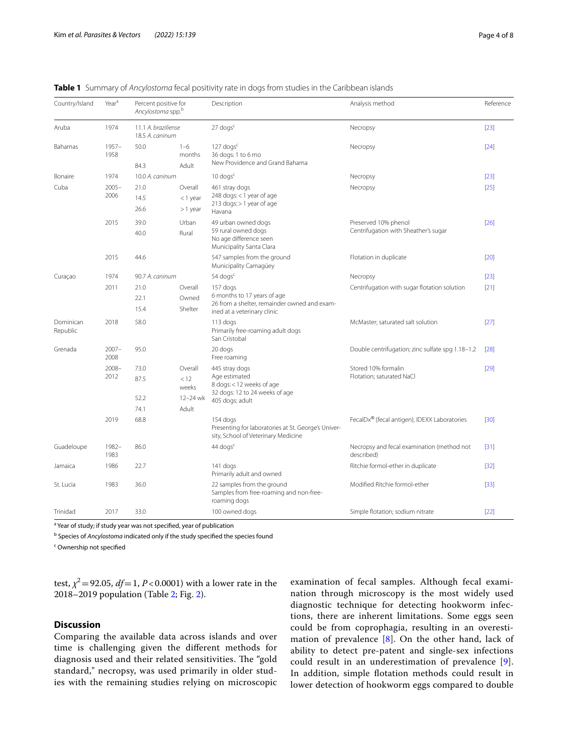| Country/Island        | Year <sup>a</sup> | Percent positive for<br>Ancylostoma spp.b |                   | Description                                                                                                            | Analysis method                                          | Reference   |
|-----------------------|-------------------|-------------------------------------------|-------------------|------------------------------------------------------------------------------------------------------------------------|----------------------------------------------------------|-------------|
| Aruba                 | 1974              | 11.1 A. braziliense<br>18.5 A. caninum    |                   | $27$ dogs <sup>c</sup>                                                                                                 | Necropsy                                                 | $[23]$      |
| Bahamas               | $1957 -$<br>1958  | 50.0                                      | $1 - 6$<br>months | $127$ dogs <sup>c</sup><br>36 dogs: 1 to 6 mo<br>New Providence and Grand Bahama                                       | Necropsy                                                 | [24]        |
|                       |                   | 84.3                                      | Adult             |                                                                                                                        |                                                          |             |
| Bonaire               | 1974              | 10.0 A. caninum                           |                   | $10$ dogs <sup>c</sup>                                                                                                 | Necropsy                                                 | [23]        |
| Cuba                  | $2005 -$<br>2006  | 21.0                                      | Overall           | 461 stray dogs<br>248 dogs: < 1 year of age<br>213 dogs: > 1 year of age                                               | Necropsy                                                 | $[25]$      |
|                       |                   | 14.5                                      | $<$ 1 year        |                                                                                                                        |                                                          |             |
|                       |                   | 26.6                                      | $>1$ year         | Havana                                                                                                                 |                                                          |             |
|                       | 2015              | 39.0                                      | Urban             | 49 urban owned dogs                                                                                                    | Preserved 10% phenol                                     | [26]        |
|                       |                   | 40.0                                      | Rural             | 59 rural owned dogs<br>No age difference seen<br>Municipality Santa Clara                                              | Centrifugation with Sheather's sugar                     |             |
|                       | 2015              | 44.6                                      |                   | 547 samples from the ground<br>Municipality Camagüey                                                                   | Flotation in duplicate                                   | [20]        |
| Curaçao               | 1974              | 90.7 A. caninum                           |                   | 54 dogs <sup>c</sup>                                                                                                   | Necropsy                                                 | [23]        |
|                       | 2011              | 21.0                                      | Overall           | 157 dogs<br>6 months to 17 years of age<br>26 from a shelter, remainder owned and exam-<br>ined at a veterinary clinic | Centrifugation with sugar flotation solution             | [21]        |
|                       |                   | 22.1                                      | Owned             |                                                                                                                        |                                                          |             |
|                       |                   | 15.4                                      | Shelter           |                                                                                                                        |                                                          |             |
| Dominican<br>Republic | 2018              | 58.0                                      |                   | 113 dogs<br>Primarily free-roaming adult dogs<br>San Cristobal                                                         | McMaster; saturated salt solution                        | $[27]$      |
| Grenada               | $2007 -$<br>2008  | 95.0                                      |                   | 20 dogs<br>Free roaming                                                                                                | Double centrifugation; zinc sulfate spg 1.18-1.2         | $\sqrt{28}$ |
|                       | $2008 -$<br>2012  | 73.0                                      | Overall           | 445 stray dogs                                                                                                         | Stored 10% formalin<br>Flotation; saturated NaCl         | $[29]$      |
|                       |                   | 87.5                                      | < 12<br>weeks     | Age estimated<br>8 dogs: < 12 weeks of age                                                                             |                                                          |             |
|                       |                   | 52.2                                      | 12-24 wk          | 32 dogs: 12 to 24 weeks of age<br>405 dogs: adult                                                                      |                                                          |             |
|                       |                   | 74.1                                      | Adult             |                                                                                                                        |                                                          |             |
|                       | 2019              | 68.8                                      |                   | 154 dogs<br>Presenting for laboratories at St. George's Univer-<br>sity, School of Veterinary Medicine                 | FecalDx® (fecal antigen), IDEXX Laboratories             | [30]        |
| Guadeloupe            | 1982-<br>1983     | 86.0                                      |                   | 44 dogs <sup>c</sup>                                                                                                   | Necropsy and fecal examination (method not<br>described) | $[31]$      |
| Jamaica               | 1986              | 22.7                                      |                   | 141 dogs<br>Primarily adult and owned                                                                                  | Ritchie formol-ether in duplicate                        | $[32]$      |
| St. Lucia             | 1983              | 36.0                                      |                   | 22 samples from the ground<br>Samples from free-roaming and non-free-<br>roaming dogs                                  | Modified Ritchie formol-ether                            | $[33]$      |
| Trinidad              | 2017              | 33.0                                      |                   | 100 owned dogs                                                                                                         | Simple flotation; sodium nitrate                         | $[22]$      |

<span id="page-3-0"></span>**Table 1** Summary of *Ancylostoma* fecal positivity rate in dogs from studies in the Caribbean islands

<sup>a</sup> Year of study; if study year was not specified, year of publication

b Species of *Ancylostoma* indicated only if the study specifed the species found

<sup>c</sup> Ownership not specified

test,  $\chi^2$  = 92.05, *df* = 1, *P* < 0.0001) with a lower rate in the 2018–2019 population (Table [2;](#page-4-1) Fig. [2\)](#page-5-0).

## **Discussion**

Comparing the available data across islands and over time is challenging given the diferent methods for diagnosis used and their related sensitivities. The "gold standard," necropsy, was used primarily in older studies with the remaining studies relying on microscopic examination of fecal samples. Although fecal examination through microscopy is the most widely used diagnostic technique for detecting hookworm infections, there are inherent limitations. Some eggs seen could be from coprophagia, resulting in an overestimation of prevalence [\[8](#page-6-6)]. On the other hand, lack of ability to detect pre-patent and single-sex infections could result in an underestimation of prevalence [[9](#page-6-7)]. In addition, simple flotation methods could result in lower detection of hookworm eggs compared to double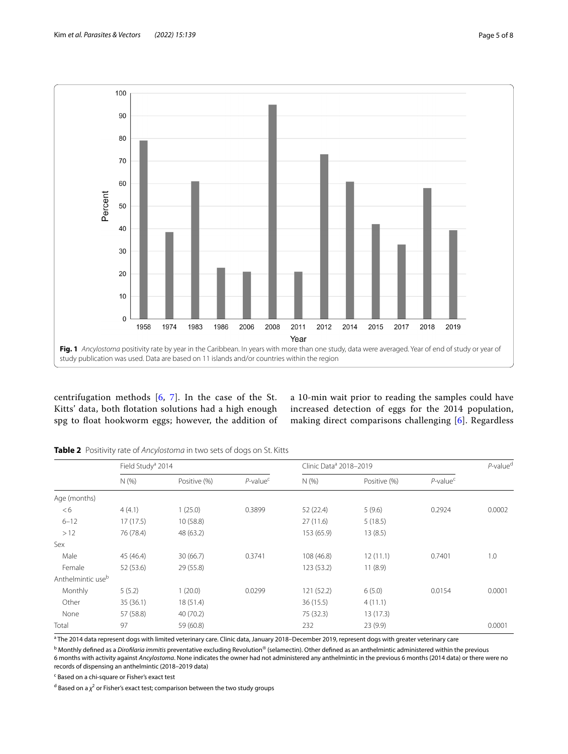

<span id="page-4-0"></span>centrifugation methods [[6](#page-6-3), [7](#page-6-4)]. In the case of the St. Kitts' data, both fotation solutions had a high enough spg to float hookworm eggs; however, the addition of a 10-min wait prior to reading the samples could have increased detection of eggs for the 2014 population, making direct comparisons challenging [[6\]](#page-6-3). Regardless

|                               | Field Study <sup>a</sup> 2014 |              |                         | Clinic Data <sup>a</sup> 2018-2019 |              |                         | $P$ -value <sup>d</sup> |  |
|-------------------------------|-------------------------------|--------------|-------------------------|------------------------------------|--------------|-------------------------|-------------------------|--|
|                               | N(%                           | Positive (%) | $P$ -value <sup>c</sup> | N(%                                | Positive (%) | $P$ -value <sup>c</sup> |                         |  |
| Age (months)                  |                               |              |                         |                                    |              |                         |                         |  |
| <6                            | 4(4.1)                        | 1(25.0)      | 0.3899                  | 52 (22.4)                          | 5(9.6)       | 0.2924                  | 0.0002                  |  |
| $6 - 12$                      | 17(17.5)                      | 10(58.8)     |                         | 27(11.6)                           | 5(18.5)      |                         |                         |  |
| >12                           | 76 (78.4)                     | 48 (63.2)    |                         | 153 (65.9)                         | 13(8.5)      |                         |                         |  |
| Sex                           |                               |              |                         |                                    |              |                         |                         |  |
| Male                          | 45 (46.4)                     | 30(66.7)     | 0.3741                  | 108 (46.8)                         | 12(11.1)     | 0.7401                  | 1.0                     |  |
| Female                        | 52 (53.6)                     | 29 (55.8)    |                         | 123(53.2)                          | 11(8.9)      |                         |                         |  |
| Anthelmintic use <sup>b</sup> |                               |              |                         |                                    |              |                         |                         |  |
| Monthly                       | 5(5.2)                        | (20.0)       | 0.0299                  | 121 (52.2)                         | 6(5.0)       | 0.0154                  | 0.0001                  |  |
| Other                         | 35(36.1)                      | 18(51.4)     |                         | 36(15.5)                           | 4(11.1)      |                         |                         |  |
| None                          | 57 (58.8)                     | 40(70.2)     |                         | 75 (32.3)                          | 13(17.3)     |                         |                         |  |
| Total                         | 97                            | 59 (60.8)    |                         | 232                                | 23(9.9)      |                         | 0.0001                  |  |

<span id="page-4-1"></span>**Table 2** Positivity rate of *Ancylostoma* in two sets of dogs on St. Kitts

<sup>a</sup> The 2014 data represent dogs with limited veterinary care. Clinic data, January 2018–December 2019, represent dogs with greater veterinary care

b Monthly defned as a *Diroflaria immitis* preventative excluding Revolution® (selamectin). Other defned as an anthelmintic administered within the previous 6 months with activity against *Ancylostoma*. None indicates the owner had not administered any anthelmintic in the previous 6 months (2014 data) or there were no records of dispensing an anthelmintic (2018–2019 data)

<sup>c</sup> Based on a chi-square or Fisher's exact test

<sup>d</sup> Based on a χ<sup>2</sup> or Fisher's exact test; comparison between the two study groups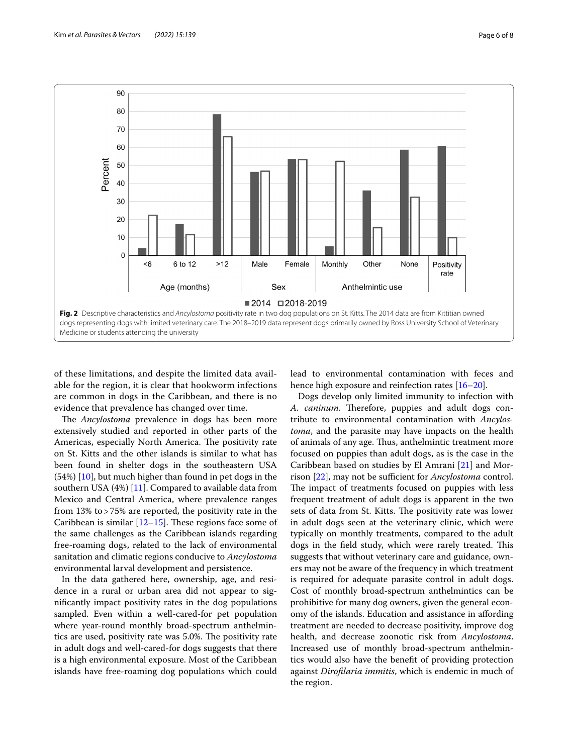

<span id="page-5-0"></span>of these limitations, and despite the limited data available for the region, it is clear that hookworm infections are common in dogs in the Caribbean, and there is no evidence that prevalence has changed over time.

The *Ancylostoma* prevalence in dogs has been more extensively studied and reported in other parts of the Americas, especially North America. The positivity rate on St. Kitts and the other islands is similar to what has been found in shelter dogs in the southeastern USA (54%) [\[10](#page-7-14)], but much higher than found in pet dogs in the southern USA (4%) [\[11](#page-7-15)]. Compared to available data from Mexico and Central America, where prevalence ranges from 13% to>75% are reported, the positivity rate in the Caribbean is similar  $[12–15]$  $[12–15]$  $[12–15]$  $[12–15]$ . These regions face some of the same challenges as the Caribbean islands regarding free-roaming dogs, related to the lack of environmental sanitation and climatic regions conducive to *Ancylostoma* environmental larval development and persistence.

In the data gathered here, ownership, age, and residence in a rural or urban area did not appear to signifcantly impact positivity rates in the dog populations sampled. Even within a well-cared-for pet population where year-round monthly broad-spectrum anthelmintics are used, positivity rate was 5.0%. The positivity rate in adult dogs and well-cared-for dogs suggests that there is a high environmental exposure. Most of the Caribbean islands have free-roaming dog populations which could lead to environmental contamination with feces and hence high exposure and reinfection rates [[16](#page-7-18)[–20](#page-7-4)].

Dogs develop only limited immunity to infection with A. caninum. Therefore, puppies and adult dogs contribute to environmental contamination with *Ancylostoma*, and the parasite may have impacts on the health of animals of any age. Thus, anthelmintic treatment more focused on puppies than adult dogs, as is the case in the Caribbean based on studies by El Amrani [\[21\]](#page-7-5) and Mor-rison [\[22](#page-7-13)], may not be sufficient for *Ancylostoma* control. The impact of treatments focused on puppies with less frequent treatment of adult dogs is apparent in the two sets of data from St. Kitts. The positivity rate was lower in adult dogs seen at the veterinary clinic, which were typically on monthly treatments, compared to the adult dogs in the field study, which were rarely treated. This suggests that without veterinary care and guidance, owners may not be aware of the frequency in which treatment is required for adequate parasite control in adult dogs. Cost of monthly broad-spectrum anthelmintics can be prohibitive for many dog owners, given the general economy of the islands. Education and assistance in afording treatment are needed to decrease positivity, improve dog health, and decrease zoonotic risk from *Ancylostoma*. Increased use of monthly broad-spectrum anthelmintics would also have the beneft of providing protection against *Diroflaria immitis*, which is endemic in much of the region.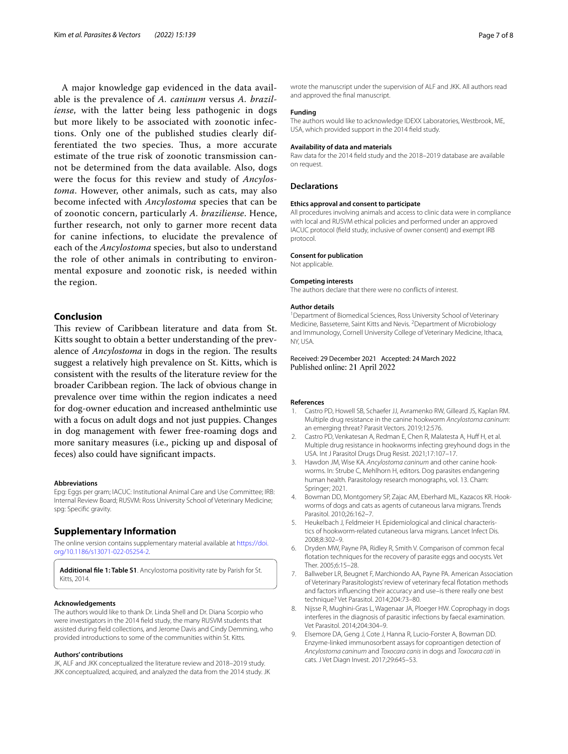A major knowledge gap evidenced in the data available is the prevalence of *A. caninum* versus *A. braziliense*, with the latter being less pathogenic in dogs but more likely to be associated with zoonotic infections. Only one of the published studies clearly differentiated the two species. Thus, a more accurate estimate of the true risk of zoonotic transmission cannot be determined from the data available. Also, dogs were the focus for this review and study of *Ancylostoma*. However, other animals, such as cats, may also become infected with *Ancylostoma* species that can be of zoonotic concern, particularly *A. braziliense*. Hence, further research, not only to garner more recent data for canine infections, to elucidate the prevalence of each of the *Ancylostoma* species, but also to understand the role of other animals in contributing to environmental exposure and zoonotic risk, is needed within the region.

## **Conclusion**

This review of Caribbean literature and data from St. Kitts sought to obtain a better understanding of the prevalence of *Ancylostoma* in dogs in the region. The results suggest a relatively high prevalence on St. Kitts, which is consistent with the results of the literature review for the broader Caribbean region. The lack of obvious change in prevalence over time within the region indicates a need for dog-owner education and increased anthelmintic use with a focus on adult dogs and not just puppies. Changes in dog management with fewer free-roaming dogs and more sanitary measures (i.e., picking up and disposal of feces) also could have signifcant impacts.

#### **Abbreviations**

Epg: Eggs per gram; IACUC: Institutional Animal Care and Use Committee; IRB: Internal Review Board; RUSVM: Ross University School of Veterinary Medicine; spg: Specifc gravity.

## **Supplementary Information**

The online version contains supplementary material available at [https://doi.](https://doi.org/10.1186/s13071-022-05254-2) [org/10.1186/s13071-022-05254-2](https://doi.org/10.1186/s13071-022-05254-2).

<span id="page-6-5"></span>**Additional fle 1: Table S1**. Ancylostoma positivity rate by Parish for St. Kitts, 2014.

#### **Acknowledgements**

The authors would like to thank Dr. Linda Shell and Dr. Diana Scorpio who were investigators in the 2014 feld study, the many RUSVM students that assisted during feld collections, and Jerome Davis and Cindy Demming, who provided introductions to some of the communities within St. Kitts.

#### **Authors' contributions**

JK, ALF and JKK conceptualized the literature review and 2018–2019 study. JKK conceptualized, acquired, and analyzed the data from the 2014 study. JK wrote the manuscript under the supervision of ALF and JKK. All authors read and approved the fnal manuscript.

## **Funding**

The authors would like to acknowledge IDEXX Laboratories, Westbrook, ME, USA, which provided support in the 2014 feld study.

#### **Availability of data and materials**

Raw data for the 2014 feld study and the 2018–2019 database are available on request.

## **Declarations**

#### **Ethics approval and consent to participate**

All procedures involving animals and access to clinic data were in compliance with local and RUSVM ethical policies and performed under an approved IACUC protocol (feld study, inclusive of owner consent) and exempt IRB protocol.

#### **Consent for publication**

Not applicable.

#### **Competing interests**

The authors declare that there were no conficts of interest.

#### **Author details**

<sup>1</sup> Department of Biomedical Sciences, Ross University School of Veterinary Medicine, Basseterre, Saint Kitts and Nevis. <sup>2</sup> Department of Microbiology and Immunology, Cornell University College of Veterinary Medicine, Ithaca, NY, USA.

## Received: 29 December 2021 Accepted: 24 March 2022 Published online: 21 April 2022

#### **References**

- <span id="page-6-0"></span>1. Castro PD, Howell SB, Schaefer JJ, Avramenko RW, Gilleard JS, Kaplan RM. Multiple drug resistance in the canine hookworm *Ancylostoma caninum*: an emerging threat? Parasit Vectors. 2019;12:576.
- 2. Castro PD, Venkatesan A, Redman E, Chen R, Malatesta A, Huff H, et al. Multiple drug resistance in hookworms infecting greyhound dogs in the USA. Int J Parasitol Drugs Drug Resist. 2021;17:107–17.
- <span id="page-6-1"></span>3. Hawdon JM, Wise KA. Ancylostoma caninum and other canine hookworms. In: Strube C, Mehlhorn H, editors. Dog parasites endangering human health. Parasitology research monographs, vol. 13. Cham: Springer; 2021.
- Bowman DD, Montgomery SP, Zajac AM, Eberhard ML, Kazacos KR. Hookworms of dogs and cats as agents of cutaneous larva migrans. Trends Parasitol. 2010;26:162–7.
- <span id="page-6-2"></span>5. Heukelbach J, Feldmeier H. Epidemiological and clinical characteristics of hookworm-related cutaneous larva migrans. Lancet Infect Dis. 2008;8:302–9.
- <span id="page-6-3"></span>6. Dryden MW, Payne PA, Ridley R, Smith V. Comparison of common fecal fotation techniques for the recovery of parasite eggs and oocysts. Vet Ther. 2005;6:15–28.
- <span id="page-6-4"></span>7. Ballweber LR, Beugnet F, Marchiondo AA, Payne PA. American Association of Veterinary Parasitologists' review of veterinary fecal fotation methods and factors infuencing their accuracy and use–is there really one best technique? Vet Parasitol. 2014;204:73–80.
- <span id="page-6-6"></span>8. Nijsse R, Mughini-Gras L, Wagenaar JA, Ploeger HW. Coprophagy in dogs interferes in the diagnosis of parasitic infections by faecal examination. Vet Parasitol. 2014;204:304–9.
- <span id="page-6-7"></span>9. Elsemore DA, Geng J, Cote J, Hanna R, Lucio-Forster A, Bowman DD. Enzyme-linked immunosorbent assays for coproantigen detection of *Ancylostoma caninum* and *Toxocara canis* in dogs and *Toxocara cati* in cats. J Vet Diagn Invest. 2017;29:645–53.